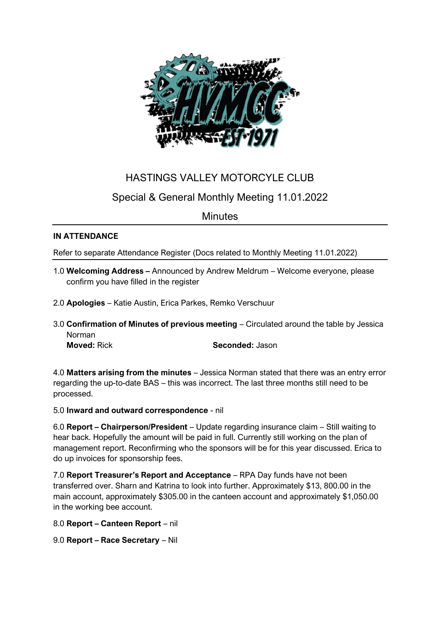

# HASTINGS VALLEY MOTORCYLE CLUB

## Special & General Monthly Meeting 11.01.2022

## **Minutes**

### **IN ATTENDANCE**

Refer to separate Attendance Register (Docs related to Monthly Meeting 11.01.2022)

- 1.0 **Welcoming Address –** Announced by Andrew Meldrum Welcome everyone, please confirm you have filled in the register
- 2.0 **Apologies** Katie Austin, Erica Parkes, Remko Verschuur
- 3.0 **Confirmation of Minutes of previous meeting** Circulated around the table by Jessica Norman

**Moved:** Rick **Seconded:** Jason

4.0 **Matters arising from the minutes** – Jessica Norman stated that there was an entry error regarding the up-to-date BAS – this was incorrect. The last three months still need to be processed.

### 5.0 **Inward and outward correspondence** - nil

6.0 **Report – Chairperson/President** – Update regarding insurance claim – Still waiting to hear back. Hopefully the amount will be paid in full. Currently still working on the plan of management report. Reconfirming who the sponsors will be for this year discussed. Erica to do up invoices for sponsorship fees.

7.0 **Report Treasurer's Report and Acceptance** – RPA Day funds have not been transferred over. Sharn and Katrina to look into further. Approximately \$13, 800.00 in the main account, approximately \$305.00 in the canteen account and approximately \$1,050.00 in the working bee account.

8.0 **Report – Canteen Report** – nil

9.0 **Report – Race Secretary** – Nil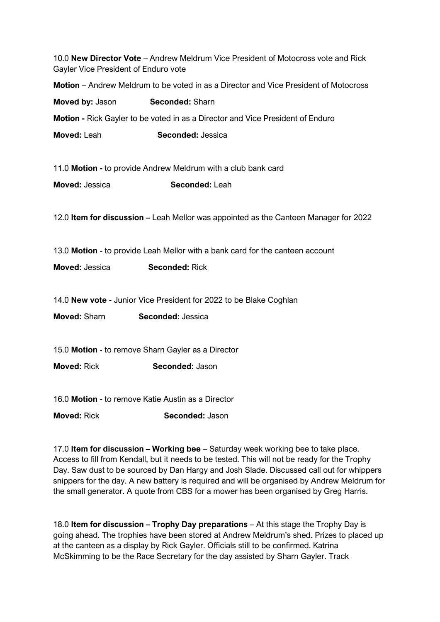| 10.0 New Director Vote - Andrew Meldrum Vice President of Motocross vote and Rick<br>Gayler Vice President of Enduro vote |                                                                                      |
|---------------------------------------------------------------------------------------------------------------------------|--------------------------------------------------------------------------------------|
| Motion – Andrew Meldrum to be voted in as a Director and Vice President of Motocross                                      |                                                                                      |
| Moved by: Jason                                                                                                           | <b>Seconded: Sharn</b>                                                               |
| Motion - Rick Gayler to be voted in as a Director and Vice President of Enduro                                            |                                                                                      |
| Moved: Leah                                                                                                               | Seconded: Jessica                                                                    |
| 11.0 Motion - to provide Andrew Meldrum with a club bank card                                                             |                                                                                      |
| Moved: Jessica                                                                                                            | Seconded: Leah                                                                       |
|                                                                                                                           | 12.0 Item for discussion - Leah Mellor was appointed as the Canteen Manager for 2022 |
| 13.0 Motion - to provide Leah Mellor with a bank card for the canteen account                                             |                                                                                      |
| Moved: Jessica                                                                                                            | <b>Seconded: Rick</b>                                                                |
|                                                                                                                           |                                                                                      |
| 14.0 New vote - Junior Vice President for 2022 to be Blake Coghlan                                                        |                                                                                      |
| Moved: Sharn                                                                                                              | Seconded: Jessica                                                                    |
|                                                                                                                           |                                                                                      |
| 15.0 Motion - to remove Sharn Gayler as a Director                                                                        |                                                                                      |
| <b>Moved: Rick</b>                                                                                                        | Seconded: Jason                                                                      |
|                                                                                                                           |                                                                                      |
| 16.0 Motion - to remove Katie Austin as a Director                                                                        |                                                                                      |
| <b>Moved: Rick</b>                                                                                                        | Seconded: Jason                                                                      |

17.0 **Item for discussion – Working bee** – Saturday week working bee to take place. Access to fill from Kendall, but it needs to be tested. This will not be ready for the Trophy Day. Saw dust to be sourced by Dan Hargy and Josh Slade. Discussed call out for whippers snippers for the day. A new battery is required and will be organised by Andrew Meldrum for the small generator. A quote from CBS for a mower has been organised by Greg Harris.

18.0 **Item for discussion – Trophy Day preparations** – At this stage the Trophy Day is going ahead. The trophies have been stored at Andrew Meldrum's shed. Prizes to placed up at the canteen as a display by Rick Gayler. Officials still to be confirmed. Katrina McSkimming to be the Race Secretary for the day assisted by Sharn Gayler. Track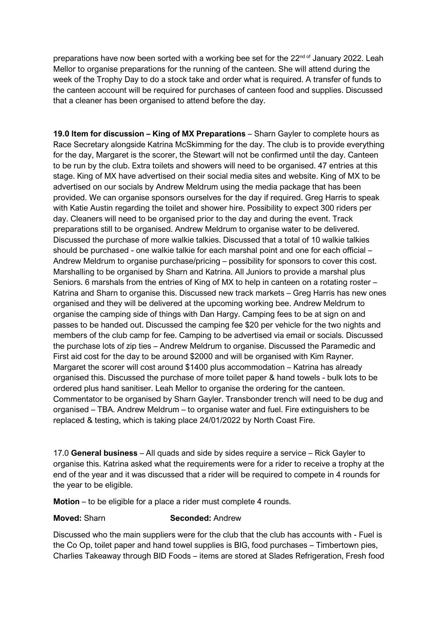preparations have now been sorted with a working bee set for the 22<sup>nd of</sup> January 2022. Leah Mellor to organise preparations for the running of the canteen. She will attend during the week of the Trophy Day to do a stock take and order what is required. A transfer of funds to the canteen account will be required for purchases of canteen food and supplies. Discussed that a cleaner has been organised to attend before the day.

**19.0 Item for discussion – King of MX Preparations** – Sharn Gayler to complete hours as Race Secretary alongside Katrina McSkimming for the day. The club is to provide everything for the day, Margaret is the scorer, the Stewart will not be confirmed until the day. Canteen to be run by the club. Extra toilets and showers will need to be organised. 47 entries at this stage. King of MX have advertised on their social media sites and website. King of MX to be advertised on our socials by Andrew Meldrum using the media package that has been provided. We can organise sponsors ourselves for the day if required. Greg Harris to speak with Katie Austin regarding the toilet and shower hire. Possibility to expect 300 riders per day. Cleaners will need to be organised prior to the day and during the event. Track preparations still to be organised. Andrew Meldrum to organise water to be delivered. Discussed the purchase of more walkie talkies. Discussed that a total of 10 walkie talkies should be purchased - one walkie talkie for each marshal point and one for each official – Andrew Meldrum to organise purchase/pricing – possibility for sponsors to cover this cost. Marshalling to be organised by Sharn and Katrina. All Juniors to provide a marshal plus Seniors. 6 marshals from the entries of King of MX to help in canteen on a rotating roster – Katrina and Sharn to organise this. Discussed new track markets – Greg Harris has new ones organised and they will be delivered at the upcoming working bee. Andrew Meldrum to organise the camping side of things with Dan Hargy. Camping fees to be at sign on and passes to be handed out. Discussed the camping fee \$20 per vehicle for the two nights and members of the club camp for fee. Camping to be advertised via email or socials. Discussed the purchase lots of zip ties – Andrew Meldrum to organise. Discussed the Paramedic and First aid cost for the day to be around \$2000 and will be organised with Kim Rayner. Margaret the scorer will cost around \$1400 plus accommodation – Katrina has already organised this. Discussed the purchase of more toilet paper & hand towels - bulk lots to be ordered plus hand sanitiser. Leah Mellor to organise the ordering for the canteen. Commentator to be organised by Sharn Gayler. Transbonder trench will need to be dug and organised – TBA. Andrew Meldrum – to organise water and fuel. Fire extinguishers to be replaced & testing, which is taking place 24/01/2022 by North Coast Fire.

17.0 **General business** – All quads and side by sides require a service – Rick Gayler to organise this. Katrina asked what the requirements were for a rider to receive a trophy at the end of the year and it was discussed that a rider will be required to compete in 4 rounds for the year to be eligible.

**Motion** – to be eligible for a place a rider must complete 4 rounds.

#### **Moved:** Sharn **Seconded:** Andrew

Discussed who the main suppliers were for the club that the club has accounts with - Fuel is the Co Op, toilet paper and hand towel supplies is BIG, food purchases – Timbertown pies, Charlies Takeaway through BID Foods – items are stored at Slades Refrigeration, Fresh food